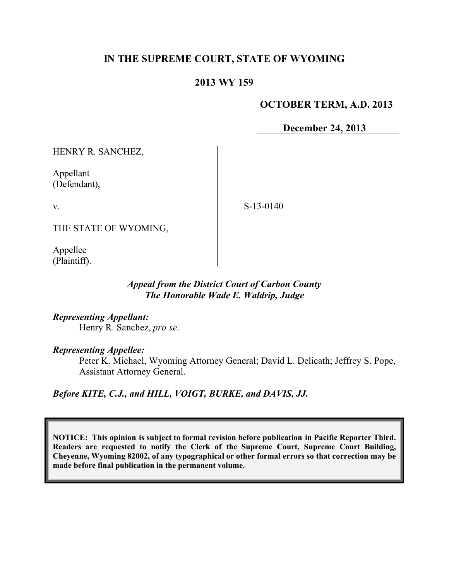# **IN THE SUPREME COURT, STATE OF WYOMING**

#### **2013 WY 159**

#### **OCTOBER TERM, A.D. 2013**

**December 24, 2013**

HENRY R. SANCHEZ,

Appellant (Defendant),

v.

S-13-0140

THE STATE OF WYOMING,

Appellee (Plaintiff).

#### *Appeal from the District Court of Carbon County The Honorable Wade E. Waldrip, Judge*

*Representing Appellant:*

Henry R. Sanchez, *pro se*.

#### *Representing Appellee:*

Peter K. Michael, Wyoming Attorney General; David L. Delicath; Jeffrey S. Pope, Assistant Attorney General.

*Before KITE, C.J., and HILL, VOIGT, BURKE, and DAVIS, JJ.*

**NOTICE: This opinion is subject to formal revision before publication in Pacific Reporter Third. Readers are requested to notify the Clerk of the Supreme Court, Supreme Court Building, Cheyenne, Wyoming 82002, of any typographical or other formal errors so that correction may be made before final publication in the permanent volume.**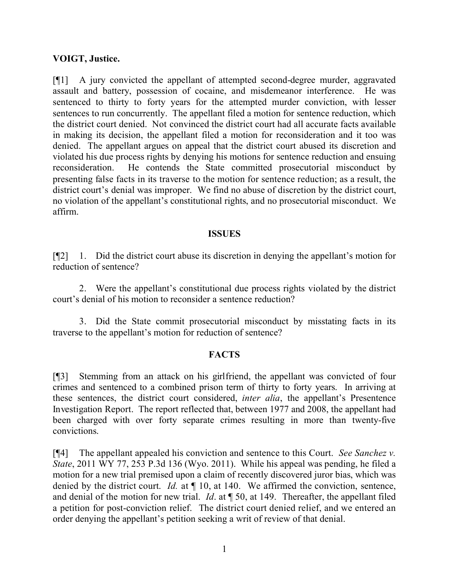## **VOIGT, Justice.**

[¶1] A jury convicted the appellant of attempted second-degree murder, aggravated assault and battery, possession of cocaine, and misdemeanor interference. He was sentenced to thirty to forty years for the attempted murder conviction, with lesser sentences to run concurrently. The appellant filed a motion for sentence reduction, which the district court denied. Not convinced the district court had all accurate facts available in making its decision, the appellant filed a motion for reconsideration and it too was denied. The appellant argues on appeal that the district court abused its discretion and violated his due process rights by denying his motions for sentence reduction and ensuing reconsideration. He contends the State committed prosecutorial misconduct by presenting false facts in its traverse to the motion for sentence reduction; as a result, the district court's denial was improper. We find no abuse of discretion by the district court, no violation of the appellant's constitutional rights, and no prosecutorial misconduct. We affirm.

#### **ISSUES**

[¶2] 1. Did the district court abuse its discretion in denying the appellant's motion for reduction of sentence?

2. Were the appellant's constitutional due process rights violated by the district court's denial of his motion to reconsider a sentence reduction?

3. Did the State commit prosecutorial misconduct by misstating facts in its traverse to the appellant's motion for reduction of sentence?

## **FACTS**

[¶3] Stemming from an attack on his girlfriend, the appellant was convicted of four crimes and sentenced to a combined prison term of thirty to forty years. In arriving at these sentences, the district court considered, *inter alia*, the appellant's Presentence Investigation Report. The report reflected that, between 1977 and 2008, the appellant had been charged with over forty separate crimes resulting in more than twenty-five convictions.

[¶4] The appellant appealed his conviction and sentence to this Court. *See Sanchez v. State*, 2011 WY 77, 253 P.3d 136 (Wyo. 2011). While his appeal was pending, he filed a motion for a new trial premised upon a claim of recently discovered juror bias, which was denied by the district court. *Id.* at  $\P$  10, at 140. We affirmed the conviction, sentence, and denial of the motion for new trial. *Id*. at ¶ 50, at 149. Thereafter, the appellant filed a petition for post-conviction relief. The district court denied relief, and we entered an order denying the appellant's petition seeking a writ of review of that denial.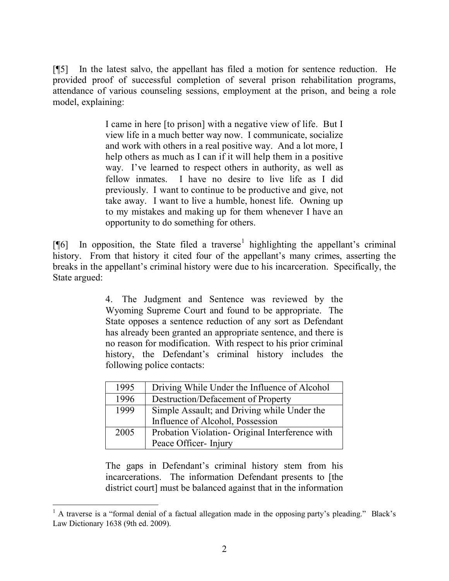[¶5] In the latest salvo, the appellant has filed a motion for sentence reduction. He provided proof of successful completion of several prison rehabilitation programs, attendance of various counseling sessions, employment at the prison, and being a role model, explaining:

> I came in here [to prison] with a negative view of life. But I view life in a much better way now. I communicate, socialize and work with others in a real positive way. And a lot more, I help others as much as I can if it will help them in a positive way. I've learned to respect others in authority, as well as fellow inmates. I have no desire to live life as I did previously. I want to continue to be productive and give, not take away. I want to live a humble, honest life. Owning up to my mistakes and making up for them whenever I have an opportunity to do something for others.

[ $[$ [6] In opposition, the State filed a traverse<sup>1</sup> highlighting the appellant's criminal history. From that history it cited four of the appellant's many crimes, asserting the breaks in the appellant's criminal history were due to his incarceration. Specifically, the State argued:

> 4. The Judgment and Sentence was reviewed by the Wyoming Supreme Court and found to be appropriate. The State opposes a sentence reduction of any sort as Defendant has already been granted an appropriate sentence, and there is no reason for modification. With respect to his prior criminal history, the Defendant's criminal history includes the following police contacts:

| 1995 | Driving While Under the Influence of Alcohol   |
|------|------------------------------------------------|
| 1996 | Destruction/Defacement of Property             |
| 1999 | Simple Assault; and Driving while Under the    |
|      | Influence of Alcohol, Possession               |
| 2005 | Probation Violation-Original Interference with |
|      | Peace Officer-Injury                           |

The gaps in Defendant's criminal history stem from his incarcerations. The information Defendant presents to [the district court] must be balanced against that in the information

 $\overline{a}$ 

 $<sup>1</sup>$  A traverse is a "formal denial of a factual allegation made in the opposing party's pleading." Black's</sup> Law Dictionary 1638 (9th ed. 2009).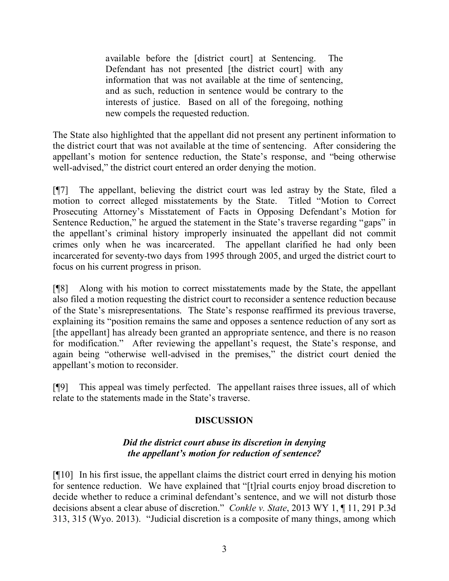available before the [district court] at Sentencing. The Defendant has not presented [the district court] with any information that was not available at the time of sentencing, and as such, reduction in sentence would be contrary to the interests of justice. Based on all of the foregoing, nothing new compels the requested reduction.

The State also highlighted that the appellant did not present any pertinent information to the district court that was not available at the time of sentencing. After considering the appellant's motion for sentence reduction, the State's response, and "being otherwise well-advised," the district court entered an order denying the motion.

[¶7] The appellant, believing the district court was led astray by the State, filed a motion to correct alleged misstatements by the State. Titled "Motion to Correct Prosecuting Attorney's Misstatement of Facts in Opposing Defendant's Motion for Sentence Reduction," he argued the statement in the State's traverse regarding "gaps" in the appellant's criminal history improperly insinuated the appellant did not commit crimes only when he was incarcerated. The appellant clarified he had only been incarcerated for seventy-two days from 1995 through 2005, and urged the district court to focus on his current progress in prison.

[¶8] Along with his motion to correct misstatements made by the State, the appellant also filed a motion requesting the district court to reconsider a sentence reduction because of the State's misrepresentations. The State's response reaffirmed its previous traverse, explaining its "position remains the same and opposes a sentence reduction of any sort as [the appellant] has already been granted an appropriate sentence, and there is no reason for modification." After reviewing the appellant's request, the State's response, and again being "otherwise well-advised in the premises," the district court denied the appellant's motion to reconsider.

[¶9] This appeal was timely perfected. The appellant raises three issues, all of which relate to the statements made in the State's traverse.

# **DISCUSSION**

## *Did the district court abuse its discretion in denying the appellant's motion for reduction of sentence?*

[¶10] In his first issue, the appellant claims the district court erred in denying his motion for sentence reduction. We have explained that "[t]rial courts enjoy broad discretion to decide whether to reduce a criminal defendant's sentence, and we will not disturb those decisions absent a clear abuse of discretion." *Conkle v. State*, 2013 WY 1, ¶ 11, 291 P.3d 313, 315 (Wyo. 2013). "Judicial discretion is a composite of many things, among which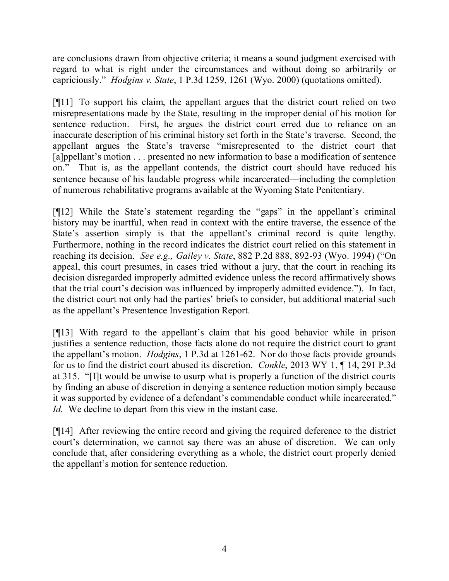are conclusions drawn from objective criteria; it means a sound judgment exercised with regard to what is right under the circumstances and without doing so arbitrarily or capriciously." *Hodgins v. State*, 1 P.3d 1259, 1261 (Wyo. 2000) (quotations omitted).

[¶11] To support his claim, the appellant argues that the district court relied on two misrepresentations made by the State, resulting in the improper denial of his motion for sentence reduction. First, he argues the district court erred due to reliance on an inaccurate description of his criminal history set forth in the State's traverse. Second, the appellant argues the State's traverse "misrepresented to the district court that [a]ppellant's motion . . . presented no new information to base a modification of sentence on." That is, as the appellant contends, the district court should have reduced his sentence because of his laudable progress while incarcerated—including the completion of numerous rehabilitative programs available at the Wyoming State Penitentiary.

[¶12] While the State's statement regarding the "gaps" in the appellant's criminal history may be inartful, when read in context with the entire traverse, the essence of the State's assertion simply is that the appellant's criminal record is quite lengthy. Furthermore, nothing in the record indicates the district court relied on this statement in reaching its decision. *See e.g., Gailey v. State*, 882 P.2d 888, 892-93 (Wyo. 1994) ("On appeal, this court presumes, in cases tried without a jury, that the court in reaching its decision disregarded improperly admitted evidence unless the record affirmatively shows that the trial court's decision was influenced by improperly admitted evidence."). In fact, the district court not only had the parties' briefs to consider, but additional material such as the appellant's Presentence Investigation Report.

[¶13] With regard to the appellant's claim that his good behavior while in prison justifies a sentence reduction, those facts alone do not require the district court to grant the appellant's motion. *Hodgins*, 1 P.3d at 1261-62. Nor do those facts provide grounds for us to find the district court abused its discretion. *Conkle*, 2013 WY 1, ¶ 14, 291 P.3d at 315. "[I]t would be unwise to usurp what is properly a function of the district courts by finding an abuse of discretion in denying a sentence reduction motion simply because it was supported by evidence of a defendant's commendable conduct while incarcerated." *Id.* We decline to depart from this view in the instant case.

[¶14] After reviewing the entire record and giving the required deference to the district court's determination, we cannot say there was an abuse of discretion. We can only conclude that, after considering everything as a whole, the district court properly denied the appellant's motion for sentence reduction.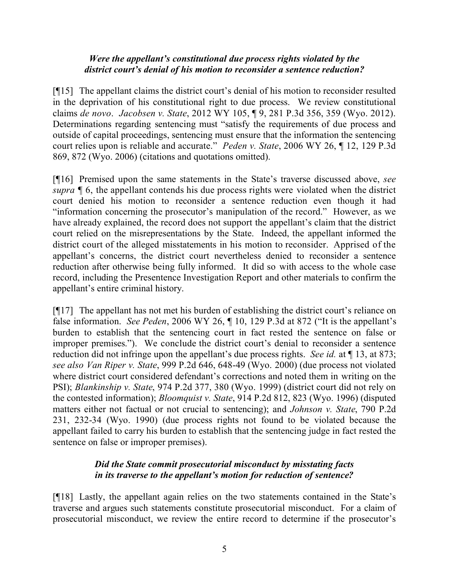## *Were the appellant's constitutional due process rights violated by the district court's denial of his motion to reconsider a sentence reduction?*

[¶15] The appellant claims the district court's denial of his motion to reconsider resulted in the deprivation of his constitutional right to due process. We review constitutional claims *de novo*. *Jacobsen v. State*, 2012 WY 105, ¶ 9, 281 P.3d 356, 359 (Wyo. 2012). Determinations regarding sentencing must "satisfy the requirements of due process and outside of capital proceedings, sentencing must ensure that the information the sentencing court relies upon is reliable and accurate." *Peden v. State*, 2006 WY 26, ¶ 12, 129 P.3d 869, 872 (Wyo. 2006) (citations and quotations omitted).

[¶16] Premised upon the same statements in the State's traverse discussed above, *see supra* ¶ 6, the appellant contends his due process rights were violated when the district court denied his motion to reconsider a sentence reduction even though it had "information concerning the prosecutor's manipulation of the record." However, as we have already explained, the record does not support the appellant's claim that the district court relied on the misrepresentations by the State. Indeed, the appellant informed the district court of the alleged misstatements in his motion to reconsider. Apprised of the appellant's concerns, the district court nevertheless denied to reconsider a sentence reduction after otherwise being fully informed. It did so with access to the whole case record, including the Presentence Investigation Report and other materials to confirm the appellant's entire criminal history.

[¶17] The appellant has not met his burden of establishing the district court's reliance on false information. *See Peden*, 2006 WY 26, ¶ 10, 129 P.3d at 872 ("It is the appellant's burden to establish that the sentencing court in fact rested the sentence on false or improper premises."). We conclude the district court's denial to reconsider a sentence reduction did not infringe upon the appellant's due process rights. *See id.* at  $\P$  13, at 873; *see also Van Riper v. State*, 999 P.2d 646, 648-49 (Wyo. 2000) (due process not violated where district court considered defendant's corrections and noted them in writing on the PSI); *Blankinship v. State*, 974 P.2d 377, 380 (Wyo. 1999) (district court did not rely on the contested information); *Bloomquist v. State*, 914 P.2d 812, 823 (Wyo. 1996) (disputed matters either not factual or not crucial to sentencing); and *Johnson v. State*, 790 P.2d 231, 232-34 (Wyo. 1990) (due process rights not found to be violated because the appellant failed to carry his burden to establish that the sentencing judge in fact rested the sentence on false or improper premises).

## *Did the State commit prosecutorial misconduct by misstating facts in its traverse to the appellant's motion for reduction of sentence?*

[¶18] Lastly, the appellant again relies on the two statements contained in the State's traverse and argues such statements constitute prosecutorial misconduct. For a claim of prosecutorial misconduct, we review the entire record to determine if the prosecutor's